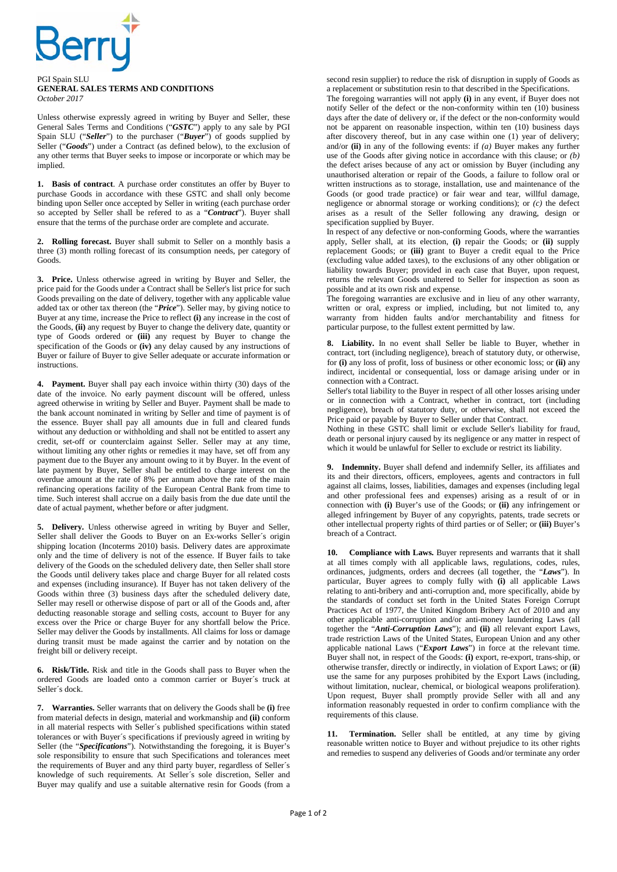

## PGI Spain SLU **GENERAL SALES TERMS AND CONDITIONS**  *October 2017*

Unless otherwise expressly agreed in writing by Buyer and Seller, these General Sales Terms and Conditions ("*GSTC*") apply to any sale by PGI Spain SLU ("*Seller*") to the purchaser ("*Buyer*") of goods supplied by Seller ("**Goods**") under a Contract (as defined below), to the exclusion of any other terms that Buyer seeks to impose or incorporate or which may be implied.

**1. Basis of contract**. A purchase order constitutes an offer by Buyer to purchase Goods in accordance with these GSTC and shall only become binding upon Seller once accepted by Seller in writing (each purchase order so accepted by Seller shall be refered to as a "*Contract*"). Buyer shall ensure that the terms of the purchase order are complete and accurate.

**2. Rolling forecast.** Buyer shall submit to Seller on a monthly basis a three (3) month rolling forecast of its consumption needs, per category of Goods.

**3. Price.** Unless otherwise agreed in writing by Buyer and Seller, the price paid for the Goods under a Contract shall be Seller's list price for such Goods prevailing on the date of delivery, together with any applicable value added tax or other tax thereon (the "*Price*"). Seller may, by giving notice to Buyer at any time, increase the Price to reflect **(i)** any increase in the cost of the Goods, **(ii)** any request by Buyer to change the delivery date, quantity or type of Goods ordered or **(iii)** any request by Buyer to change the specification of the Goods or **(iv)** any delay caused by any instructions of Buyer or failure of Buyer to give Seller adequate or accurate information or instructions.

**4. Payment.** Buyer shall pay each invoice within thirty (30) days of the date of the invoice. No early payment discount will be offered, unless agreed otherwise in writing by Seller and Buyer. Payment shall be made to the bank account nominated in writing by Seller and time of payment is of the essence. Buyer shall pay all amounts due in full and cleared funds without any deduction or withholding and shall not be entitled to assert any credit, set-off or counterclaim against Seller. Seller may at any time, without limiting any other rights or remedies it may have, set off from any payment due to the Buyer any amount owing to it by Buyer. In the event of late payment by Buyer, Seller shall be entitled to charge interest on the overdue amount at the rate of 8% per annum above the rate of the main refinancing operations facility of the European Central Bank from time to time. Such interest shall accrue on a daily basis from the due date until the date of actual payment, whether before or after judgment.

**5. Delivery.** Unless otherwise agreed in writing by Buyer and Seller, Seller shall deliver the Goods to Buyer on an Ex-works Seller´s origin shipping location (Incoterms 2010) basis. Delivery dates are approximate only and the time of delivery is not of the essence. If Buyer fails to take delivery of the Goods on the scheduled delivery date, then Seller shall store the Goods until delivery takes place and charge Buyer for all related costs and expenses (including insurance). If Buyer has not taken delivery of the Goods within three (3) business days after the scheduled delivery date, Seller may resell or otherwise dispose of part or all of the Goods and, after deducting reasonable storage and selling costs, account to Buyer for any excess over the Price or charge Buyer for any shortfall below the Price. Seller may deliver the Goods by installments. All claims for loss or damage during transit must be made against the carrier and by notation on the freight bill or delivery receipt.

**6. Risk/Title.** Risk and title in the Goods shall pass to Buyer when the ordered Goods are loaded onto a common carrier or Buyer´s truck at Seller´s dock.

**7. Warranties.** Seller warrants that on delivery the Goods shall be **(i)** free from material defects in design, material and workmanship and **(ii)** conform in all material respects with Seller´s published specifications within stated tolerances or with Buyer´s specifications if previously agreed in writing by Seller (the "Specifications"). Notwithstanding the foregoing, it is Buyer's sole responsibility to ensure that such Specifications and tolerances meet the requirements of Buyer and any third party buyer, regardless of Seller´s knowledge of such requirements. At Seller´s sole discretion, Seller and Buyer may qualify and use a suitable alternative resin for Goods (from a

second resin supplier) to reduce the risk of disruption in supply of Goods as a replacement or substitution resin to that described in the Specifications.

The foregoing warranties will not apply **(i)** in any event, if Buyer does not notify Seller of the defect or the non-conformity within ten (10) business days after the date of delivery or, if the defect or the non-conformity would not be apparent on reasonable inspection, within ten (10) business days after discovery thereof, but in any case within one (1) year of delivery; and/or **(ii)** in any of the following events: if *(a)* Buyer makes any further use of the Goods after giving notice in accordance with this clause; or *(b)* the defect arises because of any act or omission by Buyer (including any unauthorised alteration or repair of the Goods, a failure to follow oral or written instructions as to storage, installation, use and maintenance of the Goods (or good trade practice) or fair wear and tear, willful damage, negligence or abnormal storage or working conditions); or *(c)* the defect arises as a result of the Seller following any drawing, design or specification supplied by Buyer.

In respect of any defective or non-conforming Goods, where the warranties apply, Seller shall, at its election, **(i)** repair the Goods; or **(ii)** supply replacement Goods; or **(iii)** grant to Buyer a credit equal to the Price (excluding value added taxes), to the exclusions of any other obligation or liability towards Buyer; provided in each case that Buyer, upon request, returns the relevant Goods unaltered to Seller for inspection as soon as possible and at its own risk and expense.

The foregoing warranties are exclusive and in lieu of any other warranty, written or oral, express or implied, including, but not limited to, any warranty from hidden faults and/or merchantability and fitness for particular purpose, to the fullest extent permitted by law.

**8. Liability.** In no event shall Seller be liable to Buyer, whether in contract, tort (including negligence), breach of statutory duty, or otherwise, for **(i)** any loss of profit, loss of business or other economic loss; or **(ii)** any indirect, incidental or consequential, loss or damage arising under or in connection with a Contract.

Seller's total liability to the Buyer in respect of all other losses arising under or in connection with a Contract, whether in contract, tort (including negligence), breach of statutory duty, or otherwise, shall not exceed the Price paid or payable by Buyer to Seller under that Contract.

Nothing in these GSTC shall limit or exclude Seller's liability for fraud, death or personal injury caused by its negligence or any matter in respect of which it would be unlawful for Seller to exclude or restrict its liability.

**9. Indemnity.** Buyer shall defend and indemnify Seller, its affiliates and its and their directors, officers, employees, agents and contractors in full against all claims, losses, liabilities, damages and expenses (including legal and other professional fees and expenses) arising as a result of or in connection with **(i)** Buyer's use of the Goods; or **(ii)** any infringement or alleged infringement by Buyer of any copyrights, patents, trade secrets or other intellectual property rights of third parties or of Seller; or **(iii)** Buyer's breach of a Contract.

**10. Compliance with Laws.** Buyer represents and warrants that it shall at all times comply with all applicable laws, regulations, codes, rules, ordinances, judgments, orders and decrees (all together, the "*Laws*"). In particular, Buyer agrees to comply fully with **(i)** all applicable Laws relating to anti-bribery and anti-corruption and, more specifically, abide by the standards of conduct set forth in the United States Foreign Corrupt Practices Act of 1977, the United Kingdom Bribery Act of 2010 and any other applicable anti-corruption and/or anti-money laundering Laws (all together the "*Anti-Corruption Laws*"); and **(ii)** all relevant export Laws, trade restriction Laws of the United States, European Union and any other applicable national Laws ("*Export Laws*") in force at the relevant time. Buyer shall not, in respect of the Goods: **(i)** export, re-export, trans-ship, or otherwise transfer, directly or indirectly, in violation of Export Laws; or (**ii**) use the same for any purposes prohibited by the Export Laws (including, without limitation, nuclear, chemical, or biological weapons proliferation). Upon request, Buyer shall promptly provide Seller with all and any information reasonably requested in order to confirm compliance with the requirements of this clause.

**11. Termination.** Seller shall be entitled, at any time by giving reasonable written notice to Buyer and without prejudice to its other rights and remedies to suspend any deliveries of Goods and/or terminate any order